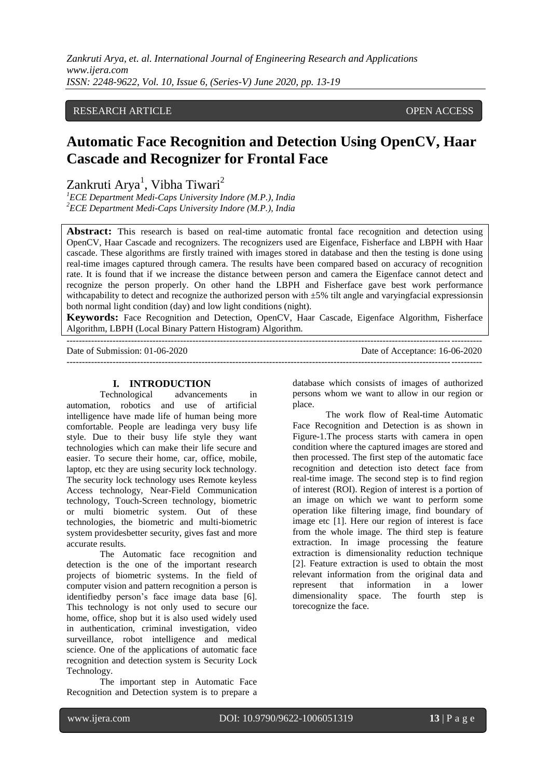*Zankruti Arya, et. al. International Journal of Engineering Research and Applications www.ijera.com ISSN: 2248-9622, Vol. 10, Issue 6, (Series-V) June 2020, pp. 13-19*

# RESEARCH ARTICLE **OPEN ACCESS**

# **Automatic Face Recognition and Detection Using OpenCV, Haar Cascade and Recognizer for Frontal Face**

Zankruti Arya<sup>1</sup>, Vibha Tiwari<sup>2</sup>

*<sup>1</sup>ECE Department Medi-Caps University Indore (M.P.), India <sup>2</sup>ECE Department Medi-Caps University Indore (M.P.), India*

---------------------------------------------------------------------------------------------------------------------------------------

**Abstract:** This research is based on real-time automatic frontal face recognition and detection using OpenCV, Haar Cascade and recognizers. The recognizers used are Eigenface, Fisherface and LBPH with Haar cascade. These algorithms are firstly trained with images stored in database and then the testing is done using real-time images captured through camera. The results have been compared based on accuracy of recognition rate. It is found that if we increase the distance between person and camera the Eigenface cannot detect and recognize the person properly. On other hand the LBPH and Fisherface gave best work performance with capability to detect and recognize the authorized person with  $\pm 5\%$  tilt angle and varyingfacial expressionsin both normal light condition (day) and low light conditions (night).

**Keywords:** Face Recognition and Detection, OpenCV, Haar Cascade, Eigenface Algorithm, Fisherface Algorithm, LBPH (Local Binary Pattern Histogram) Algorithm.

Date of Submission: 01-06-2020 Date of Acceptance: 16-06-2020

---------------------------------------------------------------------------------------------------------------------------------------

#### **I. INTRODUCTION**

Technological advancements in automation, robotics and use of artificial intelligence have made life of human being more comfortable. People are leadinga very busy life style. Due to their busy life style they want technologies which can make their life secure and easier. To secure their home, car, office, mobile, laptop, etc they are using security lock technology. The security lock technology uses Remote keyless Access technology, Near-Field Communication technology, Touch-Screen technology, biometric or multi biometric system. Out of these technologies, the biometric and multi-biometric system providesbetter security, gives fast and more accurate results.

The Automatic face recognition and detection is the one of the important research projects of biometric systems. In the field of computer vision and pattern recognition a person is identifiedby person's face image data base [6]. This technology is not only used to secure our home, office, shop but it is also used widely used in authentication, criminal investigation, video surveillance, robot intelligence and medical science. One of the applications of automatic face recognition and detection system is Security Lock Technology.

The important step in Automatic Face Recognition and Detection system is to prepare a database which consists of images of authorized persons whom we want to allow in our region or place.

The work flow of Real-time Automatic Face Recognition and Detection is as shown in Figure-1.The process starts with camera in open condition where the captured images are stored and then processed. The first step of the automatic face recognition and detection isto detect face from real-time image. The second step is to find region of interest (ROI). Region of interest is a portion of an image on which we want to perform some operation like filtering image, find boundary of image etc [1]. Here our region of interest is face from the whole image. The third step is feature extraction. In image processing the feature extraction is dimensionality reduction technique [2]. Feature extraction is used to obtain the most relevant information from the original data and represent that information in a lower dimensionality space. The fourth step is torecognize the face.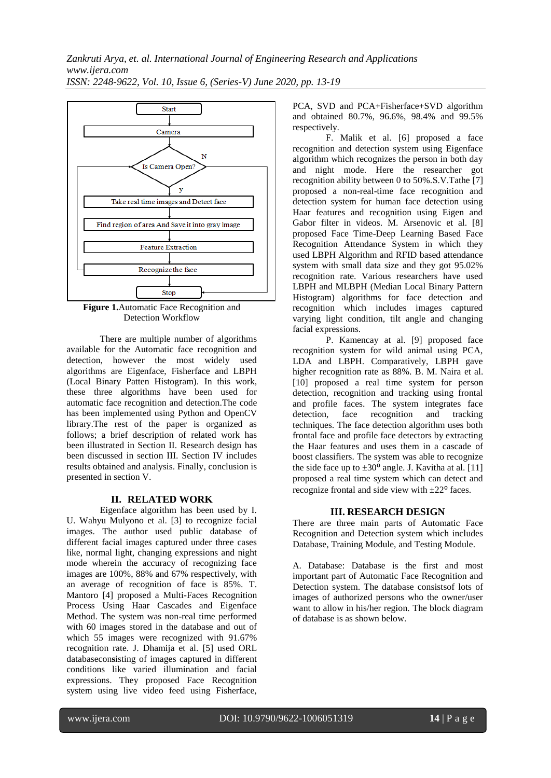

**Figure 1.**Automatic Face Recognition and Detection Workflow

There are multiple number of algorithms available for the Automatic face recognition and detection, however the most widely used algorithms are Eigenface, Fisherface and LBPH (Local Binary Patten Histogram). In this work, these three algorithms have been used for automatic face recognition and detection.The code has been implemented using Python and OpenCV library.The rest of the paper is organized as follows; a brief description of related work has been illustrated in Section II. Research design has been discussed in section III. Section IV includes results obtained and analysis. Finally, conclusion is presented in section V.

# **II. RELATED WORK**

Eigenface algorithm has been used by I. U. Wahyu Mulyono et al. [3] to recognize facial images. The author used public database of different facial images captured under three cases like, normal light, changing expressions and night mode wherein the accuracy of recognizing face images are 100%, 88% and 67% respectively, with an average of recognition of face is 85%. T. Mantoro [4] proposed a Multi-Faces Recognition Process Using Haar Cascades and Eigenface Method. The system was non-real time performed with 60 images stored in the database and out of which 55 images were recognized with 91.67% recognition rate. J. Dhamija et al. [5] used ORL databasecon**s**isting of images captured in different conditions like varied illumination and facial expressions. They proposed Face Recognition system using live video feed using Fisherface,

PCA, SVD and PCA+Fisherface+SVD algorithm and obtained 80.7%, 96.6%, 98.4% and 99.5% respectively.

F. Malik et al. [6] proposed a face recognition and detection system using Eigenface algorithm which recognizes the person in both day and night mode. Here the researcher got recognition ability between 0 to 50%.S.V.Tathe [7] proposed a non-real-time face recognition and detection system for human face detection using Haar features and recognition using Eigen and Gabor filter in videos. M. Arsenovic et al. [8] proposed Face Time-Deep Learning Based Face Recognition Attendance System in which they used LBPH Algorithm and RFID based attendance system with small data size and they got 95.02% recognition rate. Various researchers have used LBPH and MLBPH (Median Local Binary Pattern Histogram) algorithms for face detection and recognition which includes images captured varying light condition, tilt angle and changing facial expressions.

P. Kamencay at al. [9] proposed face recognition system for wild animal using PCA, LDA and LBPH. Comparatively, LBPH gave higher recognition rate as 88%. B. M. Naira et al. [10] proposed a real time system for person detection, recognition and tracking using frontal and profile faces. The system integrates face detection, face recognition and tracking techniques. The face detection algorithm uses both frontal face and profile face detectors by extracting the Haar features and uses them in a cascade of boost classifiers. The system was able to recognize the side face up to  $\pm 30^{\circ}$  angle. J. Kavitha at al. [11] proposed a real time system which can detect and recognize frontal and side view with  $\pm 22^{\circ}$  faces.

#### **III. RESEARCH DESIGN**

There are three main parts of Automatic Face Recognition and Detection system which includes Database, Training Module, and Testing Module.

A. Database: Database is the first and most important part of Automatic Face Recognition and Detection system. The database consistsof lots of images of authorized persons who the owner/user want to allow in his/her region. The block diagram of database is as shown below.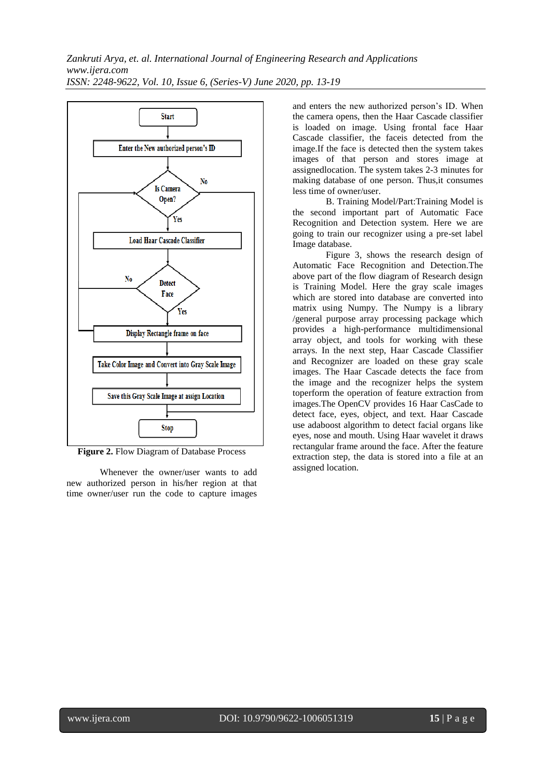

**Figure 2.** Flow Diagram of Database Process

Whenever the owner/user wants to add new authorized person in his/her region at that time owner/user run the code to capture images and enters the new authorized person's ID. When the camera opens, then the Haar Cascade classifier is loaded on image. Using frontal face Haar Cascade classifier, the faceis detected from the image.If the face is detected then the system takes images of that person and stores image at assignedlocation. The system takes 2-3 minutes for making database of one person. Thus,it consumes less time of owner/user.

B. Training Model/Part:Training Model is the second important part of Automatic Face Recognition and Detection system. Here we are going to train our recognizer using a pre-set label Image database.

Figure 3, shows the research design of Automatic Face Recognition and Detection.The above part of the flow diagram of Research design is Training Model. Here the gray scale images which are stored into database are converted into matrix using Numpy. The Numpy is a library /general purpose array processing package which provides a high-performance multidimensional array object, and tools for working with these arrays. In the next step, Haar Cascade Classifier and Recognizer are loaded on these gray scale images. The Haar Cascade detects the face from the image and the recognizer helps the system toperform the operation of feature extraction from images.The OpenCV provides 16 Haar CasCade to detect face, eyes, object, and text. Haar Cascade use adaboost algorithm to detect facial organs like eyes, nose and mouth. Using Haar wavelet it draws rectangular frame around the face. After the feature extraction step, the data is stored into a file at an assigned location.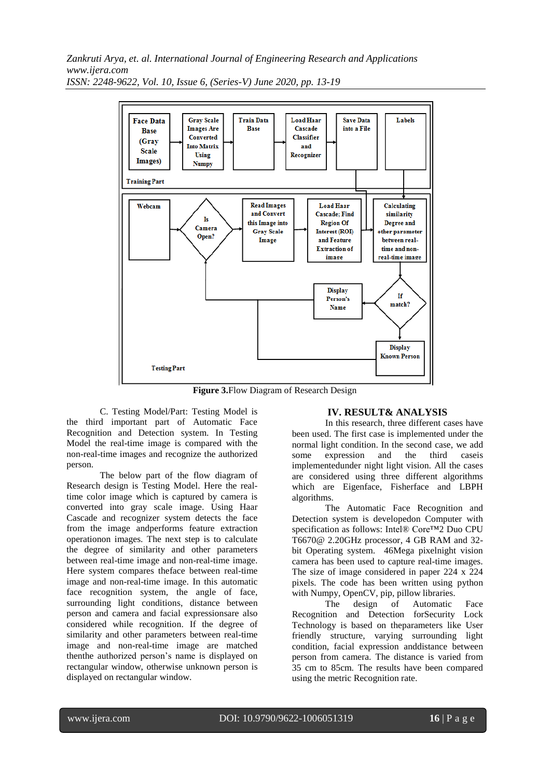*Zankruti Arya, et. al. International Journal of Engineering Research and Applications www.ijera.com*



*ISSN: 2248-9622, Vol. 10, Issue 6, (Series-V) June 2020, pp. 13-19*

**Figure 3.**Flow Diagram of Research Design

C. Testing Model/Part: Testing Model is the third important part of Automatic Face Recognition and Detection system. In Testing Model the real-time image is compared with the non-real-time images and recognize the authorized person.

The below part of the flow diagram of Research design is Testing Model. Here the realtime color image which is captured by camera is converted into gray scale image. Using Haar Cascade and recognizer system detects the face from the image andperforms feature extraction operationon images. The next step is to calculate the degree of similarity and other parameters between real-time image and non-real-time image. Here system compares theface between real-time image and non-real-time image. In this automatic face recognition system, the angle of face, surrounding light conditions, distance between person and camera and facial expressionsare also considered while recognition. If the degree of similarity and other parameters between real-time image and non-real-time image are matched thenthe authorized person's name is displayed on rectangular window, otherwise unknown person is displayed on rectangular window.

#### **IV. RESULT& ANALYSIS**

In this research, three different cases have been used. The first case is implemented under the normal light condition. In the second case, we add some expression and the third caseis implementedunder night light vision. All the cases are considered using three different algorithms which are Eigenface, Fisherface and LBPH algorithms.

The Automatic Face Recognition and Detection system is developedon Computer with specification as follows: Intel® Core™2 Duo CPU T6670@ 2.20GHz processor, 4 GB RAM and 32 bit Operating system. 46Mega pixelnight vision camera has been used to capture real-time images. The size of image considered in paper 224 x 224 pixels. The code has been written using python with Numpy, OpenCV, pip, pillow libraries.

The design of Automatic Face Recognition and Detection forSecurity Lock Technology is based on theparameters like User friendly structure, varying surrounding light condition, facial expression anddistance between person from camera. The distance is varied from 35 cm to 85cm. The results have been compared using the metric Recognition rate.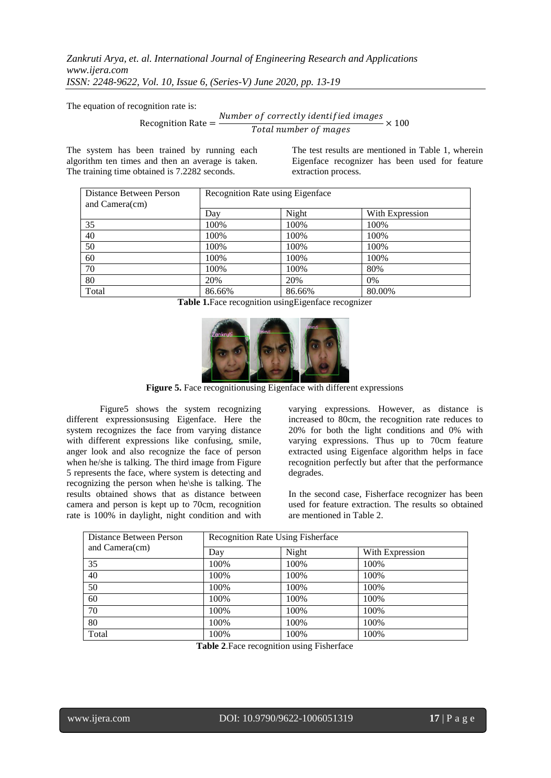*Zankruti Arya, et. al. International Journal of Engineering Research and Applications www.ijera.com ISSN: 2248-9622, Vol. 10, Issue 6, (Series-V) June 2020, pp. 13-19*

The equation of recognition rate is:

Recognition Rate  $=\frac{Number\ of\ correctly\ identified\ images}{Total\ number\ of\ masses}$  $\frac{5}{\pi}$   $\times$  100<br>Total number of mages

The system has been trained by running each algorithm ten times and then an average is taken. The training time obtained is 7.2282 seconds.

The test results are mentioned in Table 1, wherein Eigenface recognizer has been used for feature extraction process.

| Distance Between Person<br>and Camera(cm) | Recognition Rate using Eigenface |        |                 |  |  |
|-------------------------------------------|----------------------------------|--------|-----------------|--|--|
|                                           | Day                              | Night  | With Expression |  |  |
| 35                                        | 100%                             | 100%   | 100%            |  |  |
| 40                                        | 100%                             | 100%   | 100%            |  |  |
| 50                                        | 100%                             | 100%   | 100%            |  |  |
| 60                                        | 100%                             | 100%   | 100%            |  |  |
| 70                                        | 100%                             | 100%   | 80%             |  |  |
| 80                                        | 20%                              | 20%    | $0\%$           |  |  |
| Total                                     | 86.66%                           | 86.66% | 80.00%          |  |  |

**Table 1.**Face recognition usingEigenface recognizer



**Figure 5.** Face recognitionusing Eigenface with different expressions

Figure5 shows the system recognizing different expressionsusing Eigenface. Here the system recognizes the face from varying distance with different expressions like confusing, smile, anger look and also recognize the face of person when he/she is talking. The third image from Figure 5 represents the face, where system is detecting and recognizing the person when he\she is talking. The results obtained shows that as distance between camera and person is kept up to 70cm, recognition rate is 100% in daylight, night condition and with varying expressions. However, as distance is increased to 80cm, the recognition rate reduces to 20% for both the light conditions and 0% with varying expressions. Thus up to 70cm feature extracted using Eigenface algorithm helps in face recognition perfectly but after that the performance degrades.

In the second case, Fisherface recognizer has been used for feature extraction. The results so obtained are mentioned in Table 2.

| Distance Between Person<br>and Camera(cm) | <b>Recognition Rate Using Fisherface</b> |       |                 |  |
|-------------------------------------------|------------------------------------------|-------|-----------------|--|
|                                           | Day                                      | Night | With Expression |  |
| 35                                        | 100%                                     | 100%  | 100%            |  |
| 40                                        | 100%                                     | 100%  | 100%            |  |
| 50                                        | 100%                                     | 100%  | 100%            |  |
| 60                                        | 100%                                     | 100%  | 100%            |  |
| 70                                        | 100%                                     | 100%  | 100%            |  |
| 80                                        | 100%                                     | 100%  | 100%            |  |
| Total                                     | 100%                                     | 100%  | 100%            |  |

**Table 2**.Face recognition using Fisherface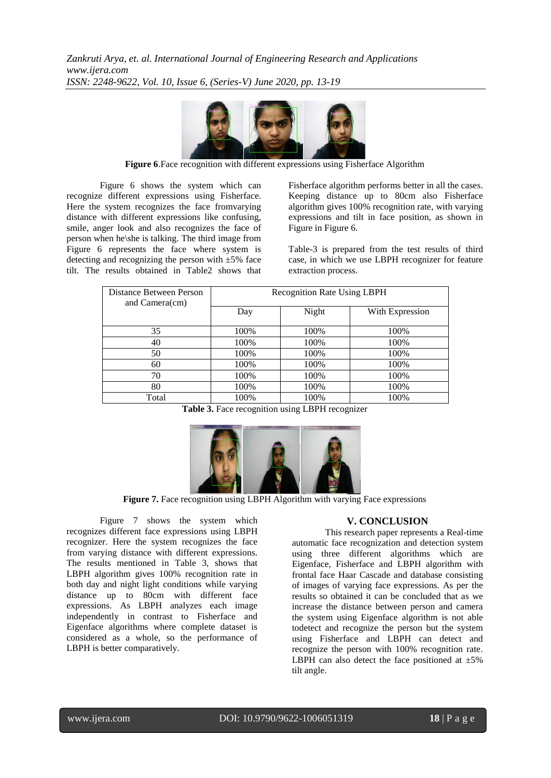

**Figure 6**.Face recognition with different expressions using Fisherface Algorithm

Figure 6 shows the system which can recognize different expressions using Fisherface. Here the system recognizes the face fromvarying distance with different expressions like confusing, smile, anger look and also recognizes the face of person when he\she is talking. The third image from Figure 6 represents the face where system is detecting and recognizing the person with  $\pm 5\%$  face tilt. The results obtained in Table2 shows that Fisherface algorithm performs better in all the cases. Keeping distance up to 80cm also Fisherface algorithm gives 100% recognition rate, with varying expressions and tilt in face position, as shown in Figure in Figure 6.

Table-3 is prepared from the test results of third case, in which we use LBPH recognizer for feature extraction process.

| Distance Between Person<br>and Camera(cm) | <b>Recognition Rate Using LBPH</b> |       |                 |  |
|-------------------------------------------|------------------------------------|-------|-----------------|--|
|                                           | Day                                | Night | With Expression |  |
| 35                                        | 100\%                              | 100%  | 100%            |  |
| 40                                        | 100%                               | 100%  | 100%            |  |
| 50                                        | 100%                               | 100%  | 100%            |  |
| 60                                        | 100%                               | 100%  | 100%            |  |
| 70                                        | 100%                               | 100%  | 100%            |  |
| 80                                        | 100%                               | 100%  | 100%            |  |
| Total                                     | 100%                               | 100%  | 100%            |  |

**Table 3.** Face recognition using LBPH recognizer



Figure 7. Face recognition using LBPH Algorithm with varying Face expressions

Figure 7 shows the system which recognizes different face expressions using LBPH recognizer. Here the system recognizes the face from varying distance with different expressions. The results mentioned in Table 3, shows that LBPH algorithm gives 100% recognition rate in both day and night light conditions while varying distance up to 80cm with different face expressions. As LBPH analyzes each image independently in contrast to Fisherface and Eigenface algorithms where complete dataset is considered as a whole, so the performance of LBPH is better comparatively.

## **V. CONCLUSION**

This research paper represents a Real-time automatic face recognization and detection system using three different algorithms which are Eigenface, Fisherface and LBPH algorithm with frontal face Haar Cascade and database consisting of images of varying face expressions. As per the results so obtained it can be concluded that as we increase the distance between person and camera the system using Eigenface algorithm is not able todetect and recognize the person but the system using Fisherface and LBPH can detect and recognize the person with 100% recognition rate. LBPH can also detect the face positioned at  $\pm 5\%$ tilt angle.